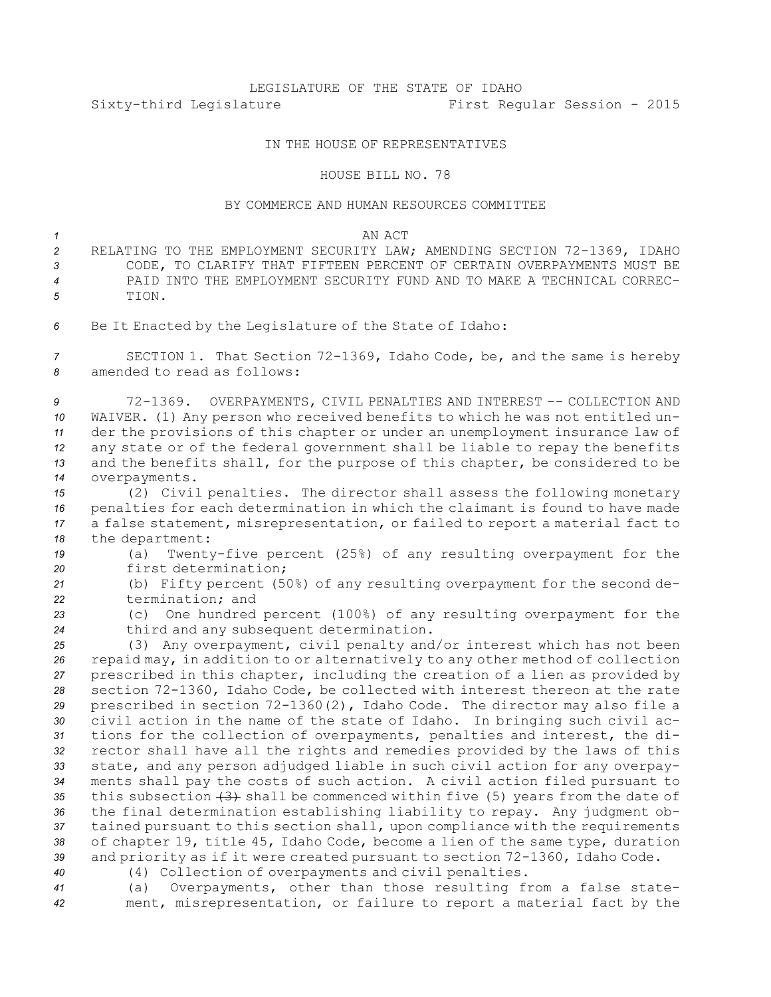# LEGISLATURE OF THE STATE OF IDAHO Sixty-third Legislature First Regular Session - 2015

## IN THE HOUSE OF REPRESENTATIVES

### HOUSE BILL NO. 78

### BY COMMERCE AND HUMAN RESOURCES COMMITTEE

#### *1* AN ACT

- *<sup>2</sup>* RELATING TO THE EMPLOYMENT SECURITY LAW; AMENDING SECTION 72-1369, IDAHO *3* CODE, TO CLARIFY THAT FIFTEEN PERCENT OF CERTAIN OVERPAYMENTS MUST BE *4* PAID INTO THE EMPLOYMENT SECURITY FUND AND TO MAKE A TECHNICAL CORREC-*5* TION.
- *<sup>6</sup>* Be It Enacted by the Legislature of the State of Idaho:

*<sup>7</sup>* SECTION 1. That Section 72-1369, Idaho Code, be, and the same is hereby *8* amended to read as follows:

 72-1369. OVERPAYMENTS, CIVIL PENALTIES AND INTEREST -- COLLECTION AND WAIVER. (1) Any person who received benefits to which he was not entitled un- der the provisions of this chapter or under an unemployment insurance law of any state or of the federal government shall be liable to repay the benefits and the benefits shall, for the purpose of this chapter, be considered to be overpayments.

 (2) Civil penalties. The director shall assess the following monetary penalties for each determination in which the claimant is found to have made <sup>a</sup> false statement, misrepresentation, or failed to report <sup>a</sup> material fact to the department:

*<sup>19</sup>* (a) Twenty-five percent (25%) of any resulting overpayment for the *20* first determination;

*<sup>21</sup>* (b) Fifty percent (50%) of any resulting overpayment for the second de-*22* termination; and

*<sup>23</sup>* (c) One hundred percent (100%) of any resulting overpayment for the *<sup>24</sup>* third and any subsequent determination.

 (3) Any overpayment, civil penalty and/or interest which has not been repaid may, in addition to or alternatively to any other method of collection prescribed in this chapter, including the creation of <sup>a</sup> lien as provided by section 72-1360, Idaho Code, be collected with interest thereon at the rate prescribed in section 72-1360(2), Idaho Code. The director may also file <sup>a</sup> civil action in the name of the state of Idaho. In bringing such civil ac- tions for the collection of overpayments, penalties and interest, the di- rector shall have all the rights and remedies provided by the laws of this state, and any person adjudged liable in such civil action for any overpay- ments shall pay the costs of such action. <sup>A</sup> civil action filed pursuant to this subsection (3) shall be commenced within five (5) years from the date of the final determination establishing liability to repay. Any judgment ob- tained pursuant to this section shall, upon compliance with the requirements of chapter 19, title 45, Idaho Code, become <sup>a</sup> lien of the same type, duration and priority as if it were created pursuant to section 72-1360, Idaho Code.

*<sup>40</sup>* (4) Collection of overpayments and civil penalties.

*<sup>41</sup>* (a) Overpayments, other than those resulting from <sup>a</sup> false state-*<sup>42</sup>* ment, misrepresentation, or failure to report <sup>a</sup> material fact by the